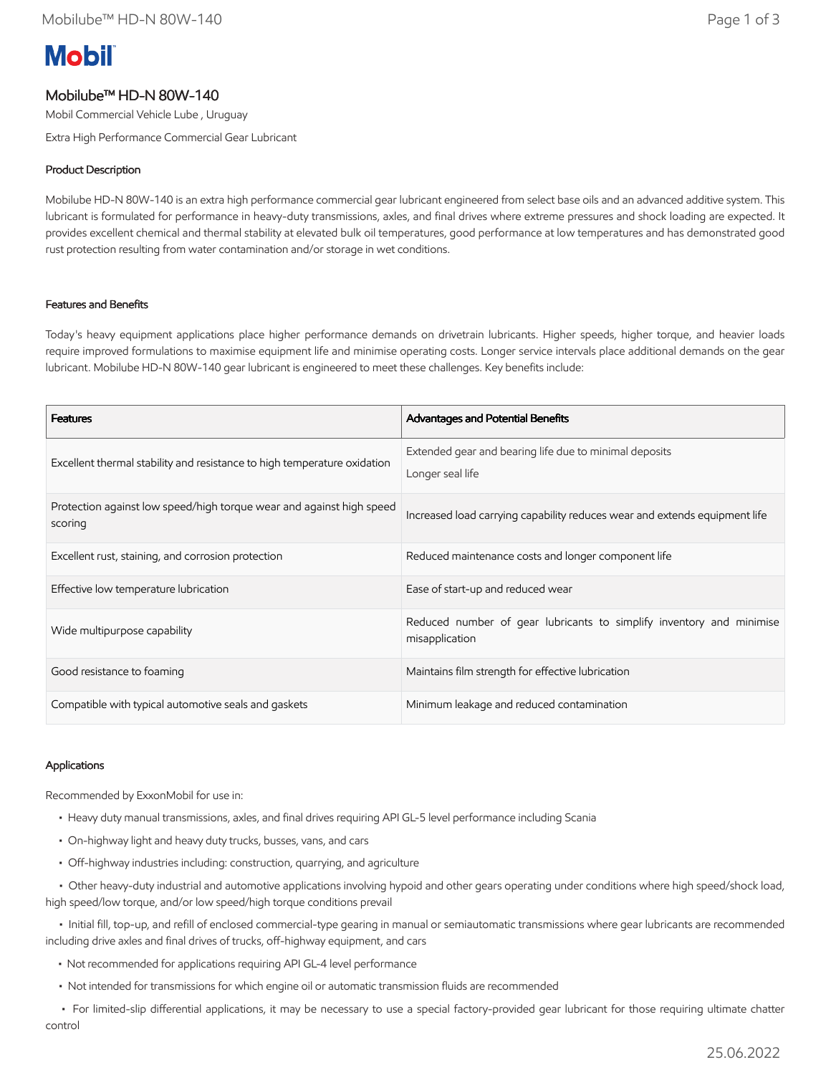# **Mobil**

## Mobilube™ HD-N 80W-140

Mobil Commercial Vehicle Lube , Uruguay

Extra High Performance Commercial Gear Lubricant

## Product Description

Mobilube HD-N 80W-140 is an extra high performance commercial gear lubricant engineered from select base oils and an advanced additive system. This lubricant is formulated for performance in heavy-duty transmissions, axles, and final drives where extreme pressures and shock loading are expected. It provides excellent chemical and thermal stability at elevated bulk oil temperatures, good performance at low temperatures and has demonstrated good rust protection resulting from water contamination and/or storage in wet conditions.

#### Features and Benefits

Today's heavy equipment applications place higher performance demands on drivetrain lubricants. Higher speeds, higher torque, and heavier loads require improved formulations to maximise equipment life and minimise operating costs. Longer service intervals place additional demands on the gear lubricant. Mobilube HD-N 80W-140 gear lubricant is engineered to meet these challenges. Key benefits include:

| <b>Features</b>                                                                 | <b>Advantages and Potential Benefits</b>                                               |
|---------------------------------------------------------------------------------|----------------------------------------------------------------------------------------|
| Excellent thermal stability and resistance to high temperature oxidation        | Extended gear and bearing life due to minimal deposits<br>Longer seal life             |
| Protection against low speed/high torque wear and against high speed<br>scoring | Increased load carrying capability reduces wear and extends equipment life             |
| Excellent rust, staining, and corrosion protection                              | Reduced maintenance costs and longer component life                                    |
| Effective low temperature lubrication                                           | Ease of start-up and reduced wear                                                      |
| Wide multipurpose capability                                                    | Reduced number of gear lubricants to simplify inventory and minimise<br>misapplication |
| Good resistance to foaming                                                      | Maintains film strength for effective lubrication                                      |
| Compatible with typical automotive seals and gaskets                            | Minimum leakage and reduced contamination                                              |

#### Applications

Recommended by ExxonMobil for use in:

- Heavy duty manual transmissions, axles, and final drives requiring API GL-5 level performance including Scania
- On-highway light and heavy duty trucks, busses, vans, and cars
- Off-highway industries including: construction, quarrying, and agriculture

 • Other heavy-duty industrial and automotive applications involving hypoid and other gears operating under conditions where high speed/shock load, high speed/low torque, and/or low speed/high torque conditions prevail

 • Initial fill, top-up, and refill of enclosed commercial-type gearing in manual or semiautomatic transmissions where gear lubricants are recommended including drive axles and final drives of trucks, off-highway equipment, and cars

- Not recommended for applications requiring API GL-4 level performance
- Not intended for transmissions for which engine oil or automatic transmission fluids are recommended

 • For limited-slip differential applications, it may be necessary to use a special factory-provided gear lubricant for those requiring ultimate chatter control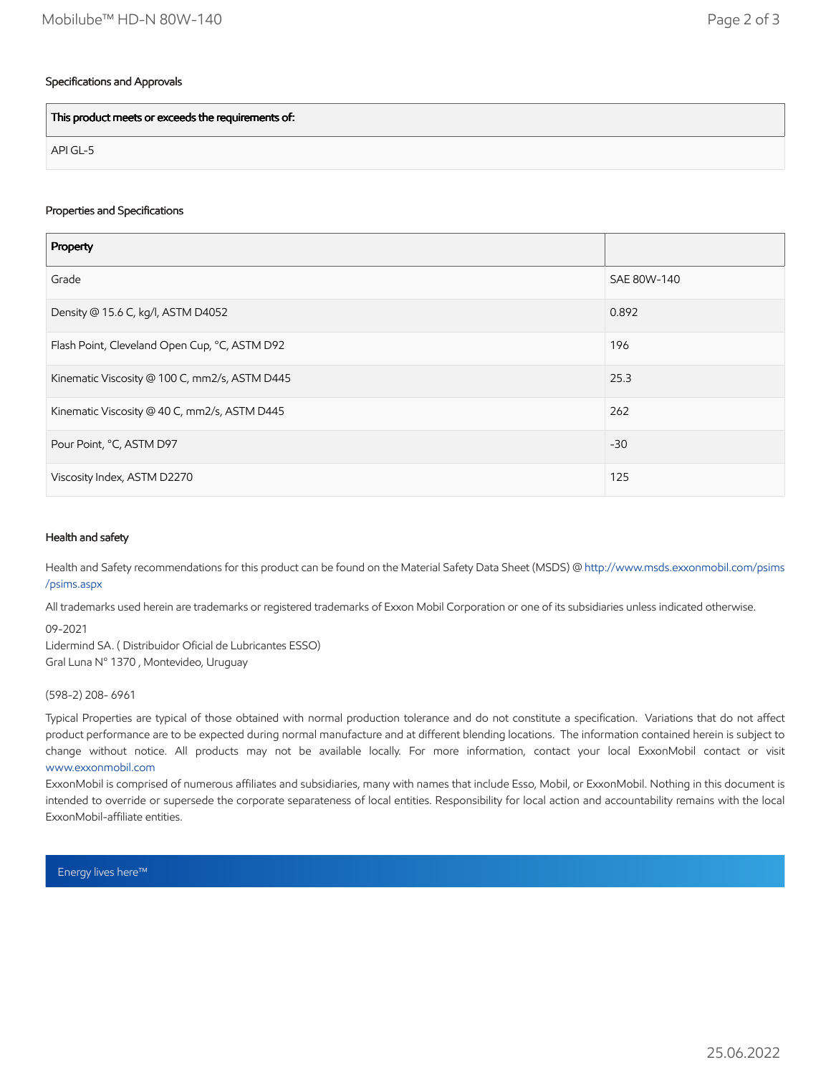## Specifications and Approvals

This product meets or exceeds the requirements of:

API GL-5

## Properties and Specifications

| Property                                      |             |
|-----------------------------------------------|-------------|
| Grade                                         | SAE 80W-140 |
| Density @ 15.6 C, kg/l, ASTM D4052            | 0.892       |
| Flash Point, Cleveland Open Cup, °C, ASTM D92 | 196         |
| Kinematic Viscosity @ 100 C, mm2/s, ASTM D445 | 25.3        |
| Kinematic Viscosity @ 40 C, mm2/s, ASTM D445  | 262         |
| Pour Point, °C, ASTM D97                      | $-30$       |
| Viscosity Index, ASTM D2270                   | 125         |

#### Health and safety

Health and Safety recommendations for this product can be found on the Material Safety Data Sheet (MSDS) @ [http://www.msds.exxonmobil.com/psims](http://www.msds.exxonmobil.com/psims/psims.aspx) /psims.aspx

All trademarks used herein are trademarks or registered trademarks of Exxon Mobil Corporation or one of its subsidiaries unless indicated otherwise.

09-2021

Lidermind SA. ( Distribuidor Oficial de Lubricantes ESSO) Gral Luna N° 1370 , Montevideo, Uruguay

#### (598-2) 208- 6961

Typical Properties are typical of those obtained with normal production tolerance and do not constitute a specification. Variations that do not affect product performance are to be expected during normal manufacture and at different blending locations. The information contained herein is subject to change without notice. All products may not be available locally. For more information, contact your local ExxonMobil contact or visit [www.exxonmobil.com](http://www.exxonmobil.com/)

ExxonMobil is comprised of numerous affiliates and subsidiaries, many with names that include Esso, Mobil, or ExxonMobil. Nothing in this document is intended to override or supersede the corporate separateness of local entities. Responsibility for local action and accountability remains with the local ExxonMobil-affiliate entities.

Energy lives here™